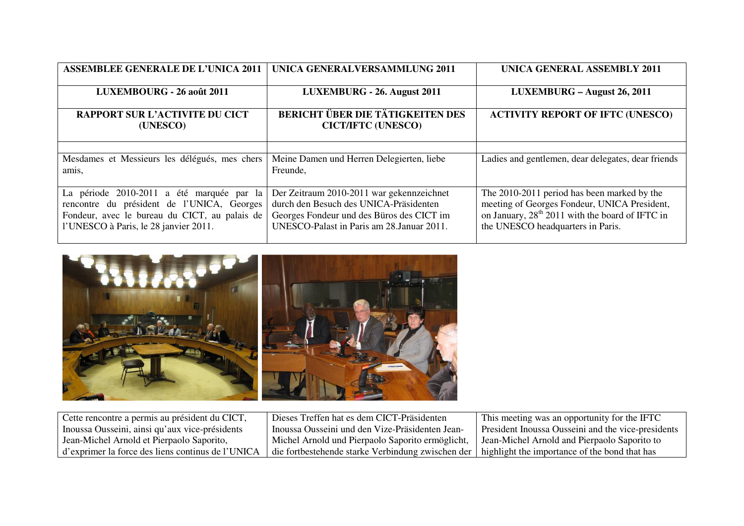| <b>ASSEMBLEE GENERALE DE L'UNICA 2011</b>                                                                                                                                         | <b>UNICA GENERALVERSAMMLUNG 2011</b>                                                                                                                                           | <b>UNICA GENERAL ASSEMBLY 2011</b>                                                                                                                                                              |
|-----------------------------------------------------------------------------------------------------------------------------------------------------------------------------------|--------------------------------------------------------------------------------------------------------------------------------------------------------------------------------|-------------------------------------------------------------------------------------------------------------------------------------------------------------------------------------------------|
| LUXEMBOURG - 26 août 2011                                                                                                                                                         | LUXEMBURG - 26. August 2011                                                                                                                                                    | LUXEMBURG - August 26, 2011                                                                                                                                                                     |
| <b>RAPPORT SUR L'ACTIVITE DU CICT</b><br>(UNESCO)                                                                                                                                 | <b>BERICHT ÜBER DIE TÄTIGKEITEN DES</b><br><b>CICT/IFTC (UNESCO)</b>                                                                                                           | <b>ACTIVITY REPORT OF IFTC (UNESCO)</b>                                                                                                                                                         |
|                                                                                                                                                                                   |                                                                                                                                                                                |                                                                                                                                                                                                 |
| Mesdames et Messieurs les délégués, mes chers<br>amis,                                                                                                                            | Meine Damen und Herren Delegierten, liebe<br>Freunde,                                                                                                                          | Ladies and gentlemen, dear delegates, dear friends                                                                                                                                              |
| La période 2010-2011 a été marquée par la<br>rencontre du président de l'UNICA, Georges<br>Fondeur, avec le bureau du CICT, au palais de<br>l'UNESCO à Paris, le 28 janvier 2011. | Der Zeitraum 2010-2011 war gekennzeichnet<br>durch den Besuch des UNICA-Präsidenten<br>Georges Fondeur und des Büros des CICT im<br>UNESCO-Palast in Paris am 28. Januar 2011. | The 2010-2011 period has been marked by the<br>meeting of Georges Fondeur, UNICA President,<br>on January, 28 <sup>th</sup> 2011 with the board of IFTC in<br>the UNESCO headquarters in Paris. |



| Cette rencontre a permis au président du CICT,    | Dieses Treffen hat es dem CICT-Präsidenten        | This meeting was an opportunity for the IFTC       |
|---------------------------------------------------|---------------------------------------------------|----------------------------------------------------|
| Inoussa Ousseini, ainsi qu'aux vice-présidents    | Inoussa Ousseini und den Vize-Präsidenten Jean-   | President Inoussa Ousseini and the vice-presidents |
| Jean-Michel Arnold et Pierpaolo Saporito,         | Michel Arnold und Pierpaolo Saporito ermöglicht,  | Jean-Michel Arnold and Pierpaolo Saporito to       |
| d'exprimer la force des liens continus de l'UNICA | die fortbestehende starke Verbindung zwischen der | highlight the importance of the bond that has      |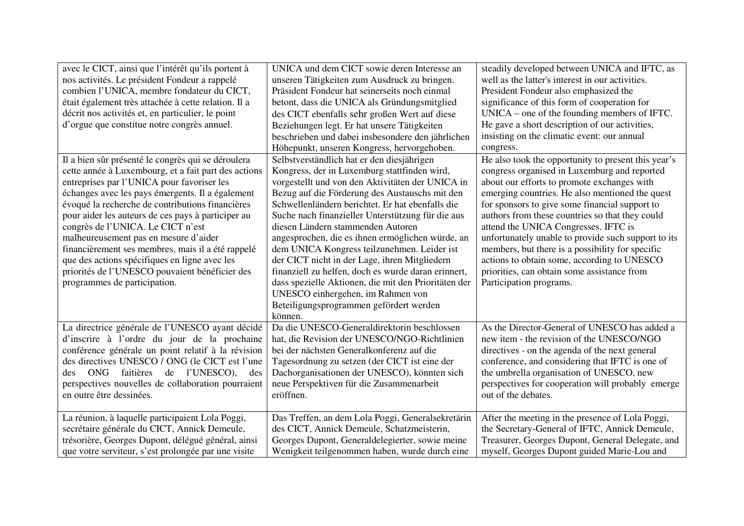| avec le CICT, ainsi que l'intérêt qu'ils portent à   | UNICA und dem CICT sowie deren Interesse an          | steadily developed between UNICA and IFTC, as       |
|------------------------------------------------------|------------------------------------------------------|-----------------------------------------------------|
| nos activités. Le président Fondeur a rappelé        | unseren Tätigkeiten zum Ausdruck zu bringen.         | well as the latter's interest in our activities.    |
| combien l'UNICA, membre fondateur du CICT,           | Präsident Fondeur hat seinerseits noch einmal        | President Fondeur also emphasized the               |
| était également très attachée à cette relation. Il a | betont, dass die UNICA als Gründungsmitglied         | significance of this form of cooperation for        |
| décrit nos activités et, en particulier, le point    | des CICT ebenfalls sehr großen Wert auf diese        | $UNICA$ – one of the founding members of IFTC.      |
| d'orgue que constitue notre congrès annuel.          | Beziehungen legt. Er hat unsere Tätigkeiten          | He gave a short description of our activities,      |
|                                                      | beschrieben und dabei insbesondere den jährlichen    | insisting on the climatic event: our annual         |
|                                                      | Höhepunkt, unseren Kongress, hervorgehoben.          | congress.                                           |
| Il a bien sûr présenté le congrès qui se déroulera   | Selbstverständlich hat er den diesjährigen           | He also took the opportunity to present this year's |
| cette année à Luxembourg, et a fait part des actions | Kongress, der in Luxemburg stattfinden wird,         | congress organised in Luxemburg and reported        |
| entreprises par l'UNICA pour favoriser les           | vorgestellt und von den Aktivitäten der UNICA in     | about our efforts to promote exchanges with         |
| échanges avec les pays émergents. Il a également     | Bezug auf die Förderung des Austauschs mit den       | emerging countries. He also mentioned the quest     |
| évoqué la recherche de contributions financières     | Schwellenländern berichtet. Er hat ebenfalls die     | for sponsors to give some financial support to      |
| pour aider les auteurs de ces pays à participer au   | Suche nach finanzieller Unterstützung für die aus    | authors from these countries so that they could     |
| congrès de l'UNICA. Le CICT n'est                    | diesen Ländern stammenden Autoren                    | attend the UNICA Congresses. IFTC is                |
| malheureusement pas en mesure d'aider                | angesprochen, die es ihnen ermöglichen würde, an     | unfortunately unable to provide such support to its |
| financièrement ses membres, mais il a été rappelé    | dem UNICA Kongress teilzunehmen. Leider ist          | members, but there is a possibility for specific    |
| que des actions spécifiques en ligne avec les        | der CICT nicht in der Lage, ihren Mitgliedern        | actions to obtain some, according to UNESCO         |
| priorités de l'UNESCO pouvaient bénéficier des       | finanziell zu helfen, doch es wurde daran erinnert,  | priorities, can obtain some assistance from         |
| programmes de participation.                         | dass spezielle Aktionen, die mit den Prioritäten der | Participation programs.                             |
|                                                      | UNESCO einhergehen, im Rahmen von                    |                                                     |
|                                                      | Beteiligungsprogrammen gefördert werden              |                                                     |
|                                                      | können.                                              |                                                     |
| La directrice générale de l'UNESCO ayant décidé      | Da die UNESCO-Generaldirektorin beschlossen          | As the Director-General of UNESCO has added a       |
| d'inscrire à l'ordre du jour de la prochaine         | hat, die Revision der UNESCO/NGO-Richtlinien         | new item - the revision of the UNESCO/NGO           |
| conférence générale un point relatif à la révision   | bei der nächsten Generalkonferenz auf die            | directives - on the agenda of the next general      |
| des directives UNESCO / ONG (le CICT est l'une       | Tagesordnung zu setzen (der CICT ist eine der        | conference, and considering that IFTC is one of     |
| ONG faitières de l'UNESCO),<br>des<br>des            | Dachorganisationen der UNESCO), könnten sich         | the umbrella organisation of UNESCO, new            |
| perspectives nouvelles de collaboration pourraient   | neue Perspektiven für die Zusammenarbeit             | perspectives for cooperation will probably emerge   |
| en outre être dessinées.                             | eröffnen.                                            | out of the debates.                                 |
|                                                      |                                                      |                                                     |
| La réunion, à laquelle participaient Lola Poggi,     | Das Treffen, an dem Lola Poggi, Generalsekretärin    | After the meeting in the presence of Lola Poggi,    |
| secrétaire générale du CICT, Annick Demeule,         | des CICT, Annick Demeule, Schatzmeisterin,           | the Secretary-General of IFTC, Annick Demeule,      |
| trésorière, Georges Dupont, délégué général, ainsi   | Georges Dupont, Generaldelegierter, sowie meine      | Treasurer, Georges Dupont, General Delegate, and    |
| que votre serviteur, s'est prolongée par une visite  | Wenigkeit teilgenommen haben, wurde durch eine       | myself, Georges Dupont guided Marie-Lou and         |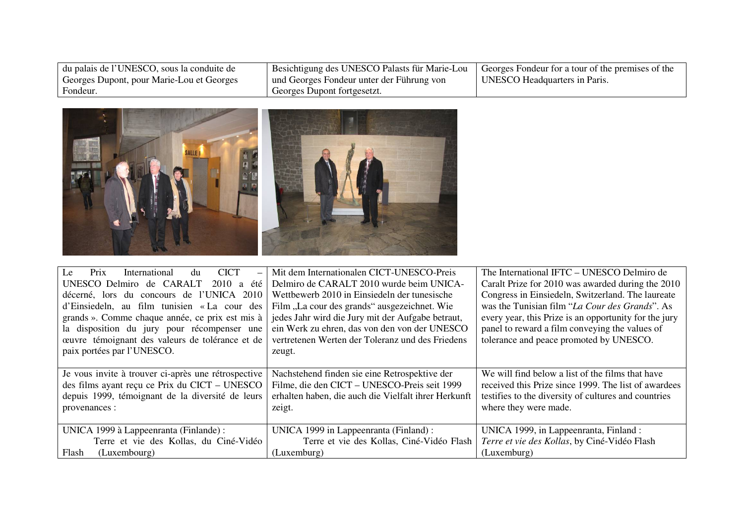| du palais de l'UNESCO, sous la conduite de | Besichtigung des UNESCO Palasts für Marie-Lou | Georges Fondeur for a tour of the premises of the |
|--------------------------------------------|-----------------------------------------------|---------------------------------------------------|
| Georges Dupont, pour Marie-Lou et Georges  | und Georges Fondeur unter der Führung von     | UNESCO Headquarters in Paris.                     |
| Fondeur.                                   | Georges Dupont fortgesetzt.                   |                                                   |



| Le<br>Prix<br><b>CICT</b><br>International<br>du        | Mit dem Internationalen CICT-UNESCO-Preis            | The International IFTC – UNESCO Delmiro de            |
|---------------------------------------------------------|------------------------------------------------------|-------------------------------------------------------|
| UNESCO Delmiro de CARALT<br>2010<br>été<br>$\mathbf{a}$ | Delmiro de CARALT 2010 wurde beim UNICA-             | Caralt Prize for 2010 was awarded during the 2010     |
| décerné, lors du concours de l'UNICA 2010               | Wettbewerb 2010 in Einsiedeln der tunesische         | Congress in Einsiedeln, Switzerland. The laureate     |
| d'Einsiedeln, au film tunisien « La cour des            | Film "La cour des grands" ausgezeichnet. Wie         | was the Tunisian film "La Cour des Grands". As        |
| grands ». Comme chaque année, ce prix est mis à         | jedes Jahr wird die Jury mit der Aufgabe betraut,    | every year, this Prize is an opportunity for the jury |
| la disposition du jury pour récompenser une             | ein Werk zu ehren, das von den von der UNESCO        | panel to reward a film conveying the values of        |
| ceuvre témoignant des valeurs de tolérance et de        | vertretenen Werten der Toleranz und des Friedens     | tolerance and peace promoted by UNESCO.               |
| paix portées par l'UNESCO.                              | zeugt.                                               |                                                       |
|                                                         |                                                      |                                                       |
| Je vous invite à trouver ci-après une rétrospective     | Nachstehend finden sie eine Retrospektive der        | We will find below a list of the films that have      |
| des films ayant reçu ce Prix du CICT – UNESCO           | Filme, die den CICT - UNESCO-Preis seit 1999         | received this Prize since 1999. The list of awardees  |
| depuis 1999, témoignant de la diversité de leurs        | erhalten haben, die auch die Vielfalt ihrer Herkunft | testifies to the diversity of cultures and countries  |
| provenances :                                           | zeigt.                                               | where they were made.                                 |
|                                                         |                                                      |                                                       |
| UNICA 1999 à Lappeenranta (Finlande) :                  | UNICA 1999 in Lappeenranta (Finland) :               | UNICA 1999, in Lappeenranta, Finland :                |
| Terre et vie des Kollas, du Ciné-Vidéo                  | Terre et vie des Kollas, Ciné-Vidéo Flash            | Terre et vie des Kollas, by Ciné-Vidéo Flash          |
| Flash<br>(Luxembourg)                                   | (Luxemburg)                                          | (Luxemburg)                                           |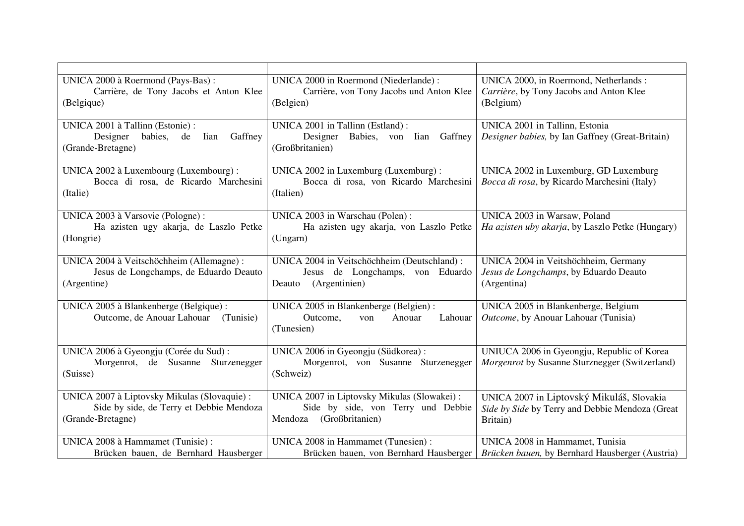| UNICA 2000 à Roermond (Pays-Bas) :                                               | UNICA 2000 in Roermond (Niederlande):                                          | UNICA 2000, in Roermond, Netherlands:                                             |
|----------------------------------------------------------------------------------|--------------------------------------------------------------------------------|-----------------------------------------------------------------------------------|
| Carrière, de Tony Jacobs et Anton Klee                                           | Carrière, von Tony Jacobs und Anton Klee                                       | Carrière, by Tony Jacobs and Anton Klee                                           |
| (Belgique)                                                                       | (Belgien)                                                                      | (Belgium)                                                                         |
|                                                                                  |                                                                                |                                                                                   |
| UNICA 2001 à Tallinn (Estonie) :<br>Gaffney<br>Designer<br>babies,<br>Iian<br>de | UNICA 2001 in Tallinn (Estland):<br>Babies,<br>Designer<br>Gaffney<br>von Iian | UNICA 2001 in Tallinn, Estonia<br>Designer babies, by Ian Gaffney (Great-Britain) |
| (Grande-Bretagne)                                                                | (Großbritanien)                                                                |                                                                                   |
|                                                                                  |                                                                                |                                                                                   |
| UNICA 2002 à Luxembourg (Luxembourg) :                                           | UNICA 2002 in Luxemburg (Luxemburg) :                                          | UNICA 2002 in Luxemburg, GD Luxemburg                                             |
| Bocca di rosa, de Ricardo Marchesini                                             | Bocca di rosa, von Ricardo Marchesini                                          | Bocca di rosa, by Ricardo Marchesini (Italy)                                      |
| (Italie)                                                                         | (Italien)                                                                      |                                                                                   |
| UNICA 2003 à Varsovie (Pologne) :                                                | UNICA 2003 in Warschau (Polen):                                                | UNICA 2003 in Warsaw, Poland                                                      |
| Ha azisten ugy akarja, de Laszlo Petke                                           | Ha azisten ugy akarja, von Laszlo Petke                                        | Ha azisten uby akarja, by Laszlo Petke (Hungary)                                  |
| (Hongrie)                                                                        | (Ungarn)                                                                       |                                                                                   |
|                                                                                  |                                                                                |                                                                                   |
| UNICA 2004 à Veitschöchheim (Allemagne) :                                        | UNICA 2004 in Veitschöchheim (Deutschland):                                    | UNICA 2004 in Veitshöchheim, Germany                                              |
| Jesus de Longchamps, de Eduardo Deauto                                           | Jesus de Longchamps, von Eduardo                                               | Jesus de Longchamps, by Eduardo Deauto                                            |
| (Argentine)                                                                      | (Argentinien)<br>Deauto                                                        | (Argentina)                                                                       |
| UNICA 2005 à Blankenberge (Belgique) :                                           | UNICA 2005 in Blankenberge (Belgien) :                                         | UNICA 2005 in Blankenberge, Belgium                                               |
| Outcome, de Anouar Lahouar<br>(Tunisie)                                          | Lahouar<br>Outcome,<br>Anouar<br>von                                           | Outcome, by Anouar Lahouar (Tunisia)                                              |
|                                                                                  | (Tunesien)                                                                     |                                                                                   |
| UNICA 2006 à Gyeongju (Corée du Sud) :                                           | UNICA 2006 in Gyeongju (Südkorea) :                                            | UNIUCA 2006 in Gyeongju, Republic of Korea                                        |
| Morgenrot, de Susanne Sturzenegger                                               | Morgenrot, von Susanne Sturzenegger                                            | Morgenrot by Susanne Sturznegger (Switzerland)                                    |
| (Suisse)                                                                         | (Schweiz)                                                                      |                                                                                   |
|                                                                                  |                                                                                |                                                                                   |
| UNICA 2007 à Liptovsky Mikulas (Slovaquie) :                                     | UNICA 2007 in Liptovsky Mikulas (Slowakei):                                    | UNICA 2007 in Liptovský Mikuláš, Slovakia                                         |
| Side by side, de Terry et Debbie Mendoza                                         | Side by side, von Terry und Debbie                                             | Side by Side by Terry and Debbie Mendoza (Great                                   |
| (Grande-Bretagne)                                                                | (Großbritanien)<br>Mendoza                                                     | Britain)                                                                          |
| UNICA 2008 à Hammamet (Tunisie) :                                                | UNICA 2008 in Hammamet (Tunesien) :                                            | UNICA 2008 in Hammamet, Tunisia                                                   |
| Brücken bauen, de Bernhard Hausberger                                            | Brücken bauen, von Bernhard Hausberger                                         | Brücken bauen, by Bernhard Hausberger (Austria)                                   |